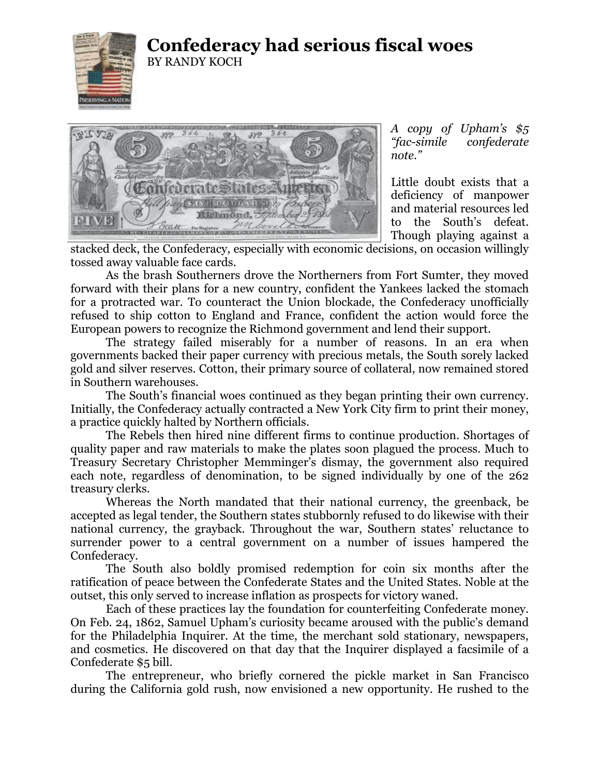

## **Confederacy had serious fiscal woes** BY RANDY KOCH



*A copy of Upham's \$5 "fac-simile confederate note."*

Little doubt exists that a deficiency of manpower and material resources led to the South's defeat. Though playing against a

stacked deck, the Confederacy, especially with economic decisions, on occasion willingly tossed away valuable face cards.

As the brash Southerners drove the Northerners from Fort Sumter, they moved forward with their plans for a new country, confident the Yankees lacked the stomach for a protracted war. To counteract the Union blockade, the Confederacy unofficially refused to ship cotton to England and France, confident the action would force the European powers to recognize the Richmond government and lend their support.

The strategy failed miserably for a number of reasons. In an era when governments backed their paper currency with precious metals, the South sorely lacked gold and silver reserves. Cotton, their primary source of collateral, now remained stored in Southern warehouses.

The South's financial woes continued as they began printing their own currency. Initially, the Confederacy actually contracted a New York City firm to print their money, a practice quickly halted by Northern officials.

The Rebels then hired nine different firms to continue production. Shortages of quality paper and raw materials to make the plates soon plagued the process. Much to Treasury Secretary Christopher Memminger's dismay, the government also required each note, regardless of denomination, to be signed individually by one of the 262 treasury clerks.

Whereas the North mandated that their national currency, the greenback, be accepted as legal tender, the Southern states stubbornly refused to do likewise with their national currency, the grayback. Throughout the war, Southern states' reluctance to surrender power to a central government on a number of issues hampered the Confederacy.

The South also boldly promised redemption for coin six months after the ratification of peace between the Confederate States and the United States. Noble at the outset, this only served to increase inflation as prospects for victory waned.

Each of these practices lay the foundation for counterfeiting Confederate money. On Feb. 24, 1862, Samuel Upham's curiosity became aroused with the public's demand for the Philadelphia Inquirer. At the time, the merchant sold stationary, newspapers, and cosmetics. He discovered on that day that the Inquirer displayed a facsimile of a Confederate \$5 bill.

The entrepreneur, who briefly cornered the pickle market in San Francisco during the California gold rush, now envisioned a new opportunity. He rushed to the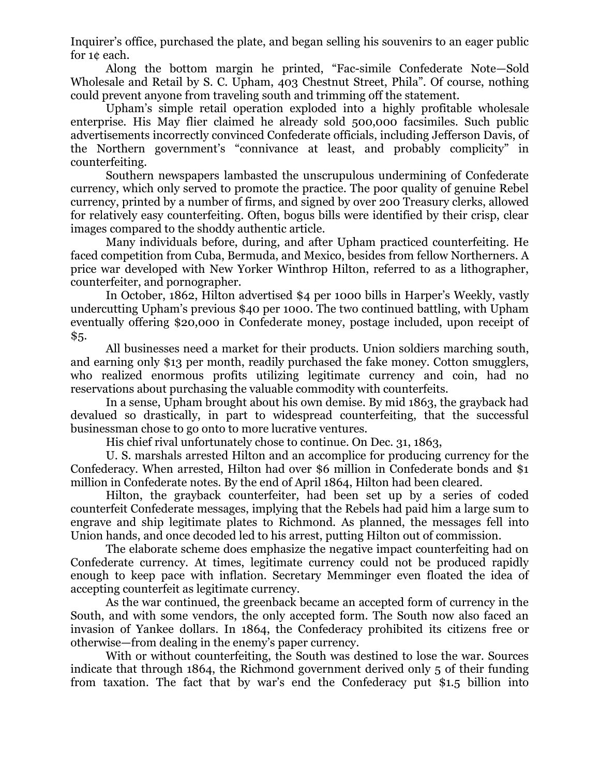Inquirer's office, purchased the plate, and began selling his souvenirs to an eager public for 1¢ each.

Along the bottom margin he printed, "Fac-simile Confederate Note—Sold Wholesale and Retail by S. C. Upham, 403 Chestnut Street, Phila". Of course, nothing could prevent anyone from traveling south and trimming off the statement.

Upham's simple retail operation exploded into a highly profitable wholesale enterprise. His May flier claimed he already sold 500,000 facsimiles. Such public advertisements incorrectly convinced Confederate officials, including Jefferson Davis, of the Northern government's "connivance at least, and probably complicity" in counterfeiting.

Southern newspapers lambasted the unscrupulous undermining of Confederate currency, which only served to promote the practice. The poor quality of genuine Rebel currency, printed by a number of firms, and signed by over 200 Treasury clerks, allowed for relatively easy counterfeiting. Often, bogus bills were identified by their crisp, clear images compared to the shoddy authentic article.

Many individuals before, during, and after Upham practiced counterfeiting. He faced competition from Cuba, Bermuda, and Mexico, besides from fellow Northerners. A price war developed with New Yorker Winthrop Hilton, referred to as a lithographer, counterfeiter, and pornographer.

In October, 1862, Hilton advertised \$4 per 1000 bills in Harper's Weekly, vastly undercutting Upham's previous \$40 per 1000. The two continued battling, with Upham eventually offering \$20,000 in Confederate money, postage included, upon receipt of \$5.

All businesses need a market for their products. Union soldiers marching south, and earning only \$13 per month, readily purchased the fake money. Cotton smugglers, who realized enormous profits utilizing legitimate currency and coin, had no reservations about purchasing the valuable commodity with counterfeits.

In a sense, Upham brought about his own demise. By mid 1863, the grayback had devalued so drastically, in part to widespread counterfeiting, that the successful businessman chose to go onto to more lucrative ventures.

His chief rival unfortunately chose to continue. On Dec. 31, 1863,

U. S. marshals arrested Hilton and an accomplice for producing currency for the Confederacy. When arrested, Hilton had over \$6 million in Confederate bonds and \$1 million in Confederate notes. By the end of April 1864, Hilton had been cleared.

Hilton, the grayback counterfeiter, had been set up by a series of coded counterfeit Confederate messages, implying that the Rebels had paid him a large sum to engrave and ship legitimate plates to Richmond. As planned, the messages fell into Union hands, and once decoded led to his arrest, putting Hilton out of commission.

The elaborate scheme does emphasize the negative impact counterfeiting had on Confederate currency. At times, legitimate currency could not be produced rapidly enough to keep pace with inflation. Secretary Memminger even floated the idea of accepting counterfeit as legitimate currency.

As the war continued, the greenback became an accepted form of currency in the South, and with some vendors, the only accepted form. The South now also faced an invasion of Yankee dollars. In 1864, the Confederacy prohibited its citizens free or otherwise—from dealing in the enemy's paper currency.

With or without counterfeiting, the South was destined to lose the war. Sources indicate that through 1864, the Richmond government derived only 5 of their funding from taxation. The fact that by war's end the Confederacy put \$1.5 billion into